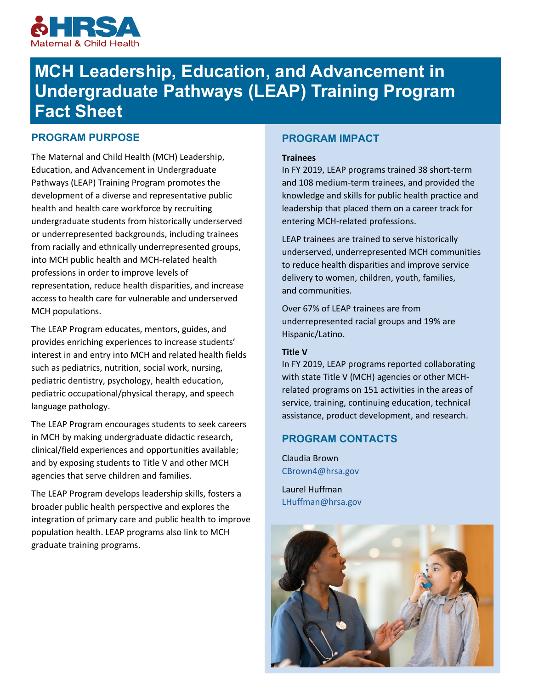

# **MCH Leadership, Education, and Advancement in Undergraduate Pathways (LEAP) Training Program Fact Sheet**

### **PROGRAM PURPOSE**

The Maternal and Child Health (MCH) Leadership, Education, and Advancement in Undergraduate Pathways (LEAP) Training Program promotes the development of a diverse and representative public health and health care workforce by recruiting undergraduate students from historically underserved or underrepresented backgrounds, including trainees from racially and ethnically underrepresented groups, into MCH public health and MCH-related health professions in order to improve levels of representation, reduce health disparities, and increase access to health care for vulnerable and underserved MCH populations.

The LEAP Program educates, mentors, guides, and provides enriching experiences to increase students' interest in and entry into MCH and related health fields such as pediatrics, nutrition, social work, nursing, pediatric dentistry, psychology, health education, pediatric occupational/physical therapy, and speech language pathology.

The LEAP Program encourages students to seek careers in MCH by making undergraduate didactic research, clinical/field experiences and opportunities available; and by exposing students to Title V and other MCH agencies that serve children and families.

The LEAP Program develops leadership skills, fosters a broader public health perspective and explores the integration of primary care and public health to improve population health. LEAP programs also link to MCH graduate training programs.

#### **PROGRAM IMPACT**

#### **Trainees**

In FY 2019, LEAP programs trained 38 short-term and 108 medium-term trainees, and provided the knowledge and skills for public health practice and leadership that placed them on a career track for entering MCH-related professions.

LEAP trainees are trained to serve historically underserved, underrepresented MCH communities to reduce health disparities and improve service delivery to women, children, youth, families, and communities.

Over 67% of LEAP trainees are from underrepresented racial groups and 19% are Hispanic/Latino.

#### **Title V**

In FY 2019, LEAP programs reported collaborating with state Title V (MCH) agencies or other MCHrelated programs on 151 activities in the areas of service, training, continuing education, technical assistance, product development, and research.

## **PROGRAM CONTACTS**

Claudia Brown [CBrown4@hrsa.gov](mailto:CBrown4@hrsa.gov)

Laurel Huffman [LHuffman@hrsa.gov](mailto:LHuffman@hrsa.gov)